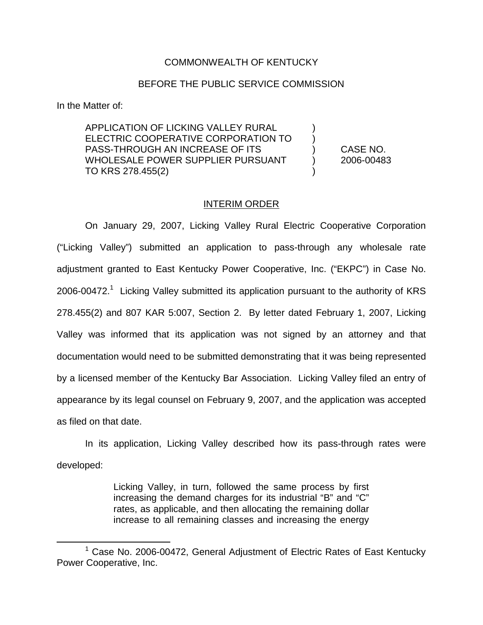## COMMONWEALTH OF KENTUCKY

## BEFORE THE PUBLIC SERVICE COMMISSION

In the Matter of:

APPLICATION OF LICKING VALLEY RURAL ELECTRIC COOPERATIVE CORPORATION TO ) PASS-THROUGH AN INCREASE OF ITS ) CASE NO. WHOLESALE POWER SUPPLIER PURSUANT (2006-00483) TO KRS 278.455(2)

## INTERIM ORDER

On January 29, 2007, Licking Valley Rural Electric Cooperative Corporation ("Licking Valley") submitted an application to pass-through any wholesale rate adjustment granted to East Kentucky Power Cooperative, Inc. ("EKPC") in Case No. 2006-00472.<sup>1</sup> Licking Valley submitted its application pursuant to the authority of KRS 278.455(2) and 807 KAR 5:007, Section 2. By letter dated February 1, 2007, Licking Valley was informed that its application was not signed by an attorney and that documentation would need to be submitted demonstrating that it was being represented by a licensed member of the Kentucky Bar Association. Licking Valley filed an entry of appearance by its legal counsel on February 9, 2007, and the application was accepted as filed on that date.

In its application, Licking Valley described how its pass-through rates were developed:

> Licking Valley, in turn, followed the same process by first increasing the demand charges for its industrial "B" and "C" rates, as applicable, and then allocating the remaining dollar increase to all remaining classes and increasing the energy

 $1$  Case No. 2006-00472, General Adjustment of Electric Rates of East Kentucky Power Cooperative, Inc.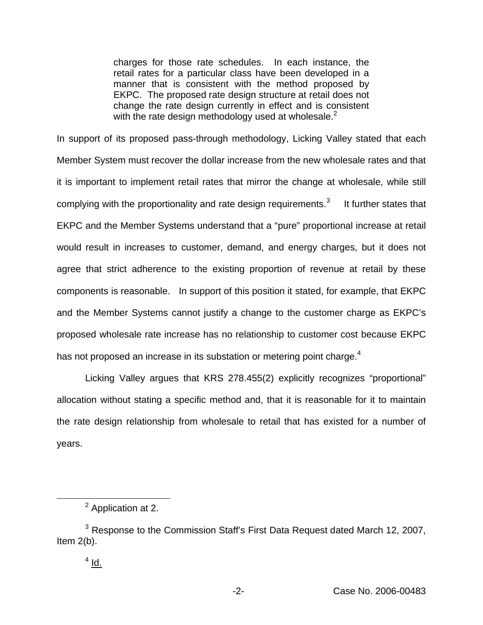charges for those rate schedules. In each instance, the retail rates for a particular class have been developed in a manner that is consistent with the method proposed by EKPC. The proposed rate design structure at retail does not change the rate design currently in effect and is consistent with the rate design methodology used at wholesale. $<sup>2</sup>$ </sup>

In support of its proposed pass-through methodology, Licking Valley stated that each Member System must recover the dollar increase from the new wholesale rates and that it is important to implement retail rates that mirror the change at wholesale, while still complying with the proportionality and rate design requirements. $3$  It further states that EKPC and the Member Systems understand that a "pure" proportional increase at retail would result in increases to customer, demand, and energy charges, but it does not agree that strict adherence to the existing proportion of revenue at retail by these components is reasonable. In support of this position it stated, for example, that EKPC and the Member Systems cannot justify a change to the customer charge as EKPC's proposed wholesale rate increase has no relationship to customer cost because EKPC has not proposed an increase in its substation or metering point charge.<sup>4</sup>

Licking Valley argues that KRS 278.455(2) explicitly recognizes "proportional" allocation without stating a specific method and, that it is reasonable for it to maintain the rate design relationship from wholesale to retail that has existed for a number of years.

<sup>2</sup> Application at 2.

<sup>&</sup>lt;sup>3</sup> Response to the Commission Staff's First Data Request dated March 12, 2007, Item  $2(b)$ .

 $4$  Id.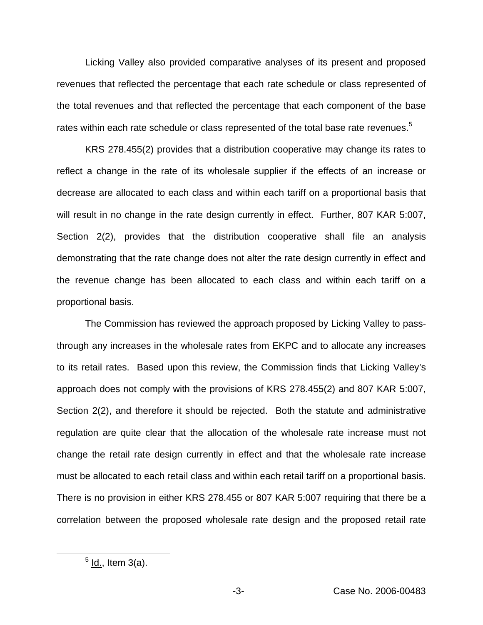Licking Valley also provided comparative analyses of its present and proposed revenues that reflected the percentage that each rate schedule or class represented of the total revenues and that reflected the percentage that each component of the base rates within each rate schedule or class represented of the total base rate revenues.<sup>5</sup>

KRS 278.455(2) provides that a distribution cooperative may change its rates to reflect a change in the rate of its wholesale supplier if the effects of an increase or decrease are allocated to each class and within each tariff on a proportional basis that will result in no change in the rate design currently in effect. Further, 807 KAR 5:007, Section 2(2), provides that the distribution cooperative shall file an analysis demonstrating that the rate change does not alter the rate design currently in effect and the revenue change has been allocated to each class and within each tariff on a proportional basis.

The Commission has reviewed the approach proposed by Licking Valley to passthrough any increases in the wholesale rates from EKPC and to allocate any increases to its retail rates. Based upon this review, the Commission finds that Licking Valley's approach does not comply with the provisions of KRS 278.455(2) and 807 KAR 5:007, Section 2(2), and therefore it should be rejected. Both the statute and administrative regulation are quite clear that the allocation of the wholesale rate increase must not change the retail rate design currently in effect and that the wholesale rate increase must be allocated to each retail class and within each retail tariff on a proportional basis. There is no provision in either KRS 278.455 or 807 KAR 5:007 requiring that there be a correlation between the proposed wholesale rate design and the proposed retail rate

 $<sup>5</sup>$  ld., Item 3(a).</sup>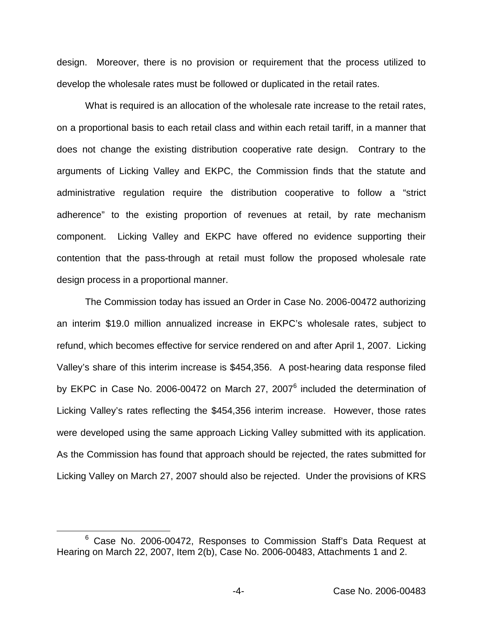design. Moreover, there is no provision or requirement that the process utilized to develop the wholesale rates must be followed or duplicated in the retail rates.

What is required is an allocation of the wholesale rate increase to the retail rates, on a proportional basis to each retail class and within each retail tariff, in a manner that does not change the existing distribution cooperative rate design. Contrary to the arguments of Licking Valley and EKPC, the Commission finds that the statute and administrative regulation require the distribution cooperative to follow a "strict adherence" to the existing proportion of revenues at retail, by rate mechanism component. Licking Valley and EKPC have offered no evidence supporting their contention that the pass-through at retail must follow the proposed wholesale rate design process in a proportional manner.

The Commission today has issued an Order in Case No. 2006-00472 authorizing an interim \$19.0 million annualized increase in EKPC's wholesale rates, subject to refund, which becomes effective for service rendered on and after April 1, 2007. Licking Valley's share of this interim increase is \$454,356. A post-hearing data response filed by EKPC in Case No. 2006-00472 on March 27, 2007<sup>6</sup> included the determination of Licking Valley's rates reflecting the \$454,356 interim increase. However, those rates were developed using the same approach Licking Valley submitted with its application. As the Commission has found that approach should be rejected, the rates submitted for Licking Valley on March 27, 2007 should also be rejected. Under the provisions of KRS

<sup>6</sup> Case No. 2006-00472, Responses to Commission Staff's Data Request at Hearing on March 22, 2007, Item 2(b), Case No. 2006-00483, Attachments 1 and 2.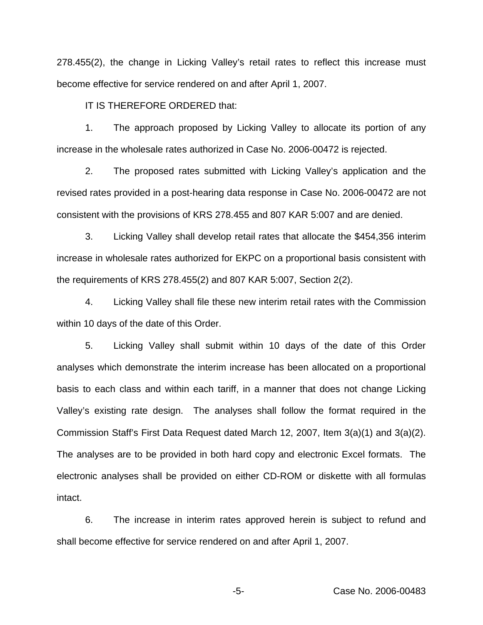278.455(2), the change in Licking Valley's retail rates to reflect this increase must become effective for service rendered on and after April 1, 2007.

IT IS THEREFORE ORDERED that:

1. The approach proposed by Licking Valley to allocate its portion of any increase in the wholesale rates authorized in Case No. 2006-00472 is rejected.

2. The proposed rates submitted with Licking Valley's application and the revised rates provided in a post-hearing data response in Case No. 2006-00472 are not consistent with the provisions of KRS 278.455 and 807 KAR 5:007 and are denied.

3. Licking Valley shall develop retail rates that allocate the \$454,356 interim increase in wholesale rates authorized for EKPC on a proportional basis consistent with the requirements of KRS 278.455(2) and 807 KAR 5:007, Section 2(2).

4. Licking Valley shall file these new interim retail rates with the Commission within 10 days of the date of this Order.

5. Licking Valley shall submit within 10 days of the date of this Order analyses which demonstrate the interim increase has been allocated on a proportional basis to each class and within each tariff, in a manner that does not change Licking Valley's existing rate design. The analyses shall follow the format required in the Commission Staff's First Data Request dated March 12, 2007, Item 3(a)(1) and 3(a)(2). The analyses are to be provided in both hard copy and electronic Excel formats. The electronic analyses shall be provided on either CD-ROM or diskette with all formulas intact.

6. The increase in interim rates approved herein is subject to refund and shall become effective for service rendered on and after April 1, 2007.